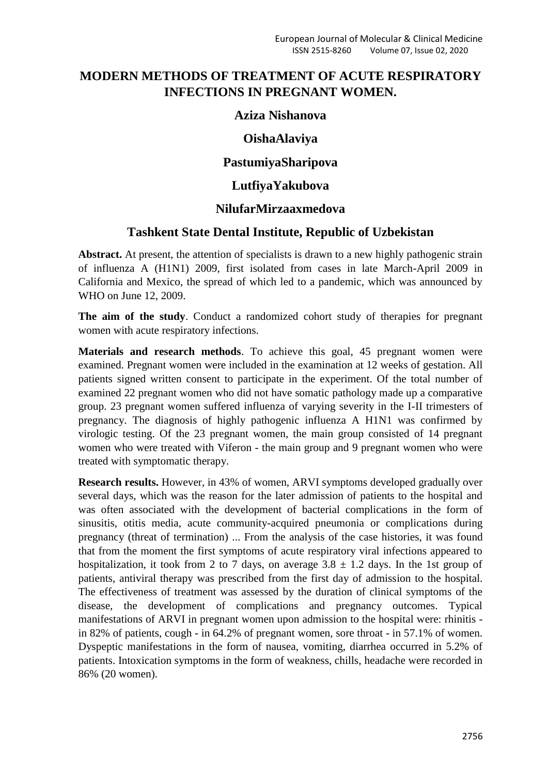# **MODERN METHODS OF TREATMENT OF ACUTE RESPIRATORY INFECTIONS IN PREGNANT WOMEN.**

#### **Aziza Nishanova**

# **OishaAlaviya**

# **PastumiyaSharipova**

#### **LutfiyaYakubova**

## **NilufarMirzaaxmedova**

## **Tashkent State Dental Institute, Republic of Uzbekistan**

Abstract. At present, the attention of specialists is drawn to a new highly pathogenic strain of influenza A (H1N1) 2009, first isolated from cases in late March-April 2009 in California and Mexico, the spread of which led to a pandemic, which was announced by WHO on June 12, 2009.

**The aim of the study**. Conduct a randomized cohort study of therapies for pregnant women with acute respiratory infections.

**Materials and research methods**. To achieve this goal, 45 pregnant women were examined. Pregnant women were included in the examination at 12 weeks of gestation. All patients signed written consent to participate in the experiment. Of the total number of examined 22 pregnant women who did not have somatic pathology made up a comparative group. 23 pregnant women suffered influenza of varying severity in the I-II trimesters of pregnancy. The diagnosis of highly pathogenic influenza A H1N1 was confirmed by virologic testing. Of the 23 pregnant women, the main group consisted of 14 pregnant women who were treated with Viferon - the main group and 9 pregnant women who were treated with symptomatic therapy.

**Research results.** However, in 43% of women, ARVI symptoms developed gradually over several days, which was the reason for the later admission of patients to the hospital and was often associated with the development of bacterial complications in the form of sinusitis, otitis media, acute community-acquired pneumonia or complications during pregnancy (threat of termination) ... From the analysis of the case histories, it was found that from the moment the first symptoms of acute respiratory viral infections appeared to hospitalization, it took from 2 to 7 days, on average  $3.8 \pm 1.2$  days. In the 1st group of patients, antiviral therapy was prescribed from the first day of admission to the hospital. The effectiveness of treatment was assessed by the duration of clinical symptoms of the disease, the development of complications and pregnancy outcomes. Typical manifestations of ARVI in pregnant women upon admission to the hospital were: rhinitis in 82% of patients, cough - in 64.2% of pregnant women, sore throat - in 57.1% of women. Dyspeptic manifestations in the form of nausea, vomiting, diarrhea occurred in 5.2% of patients. Intoxication symptoms in the form of weakness, chills, headache were recorded in 86% (20 women).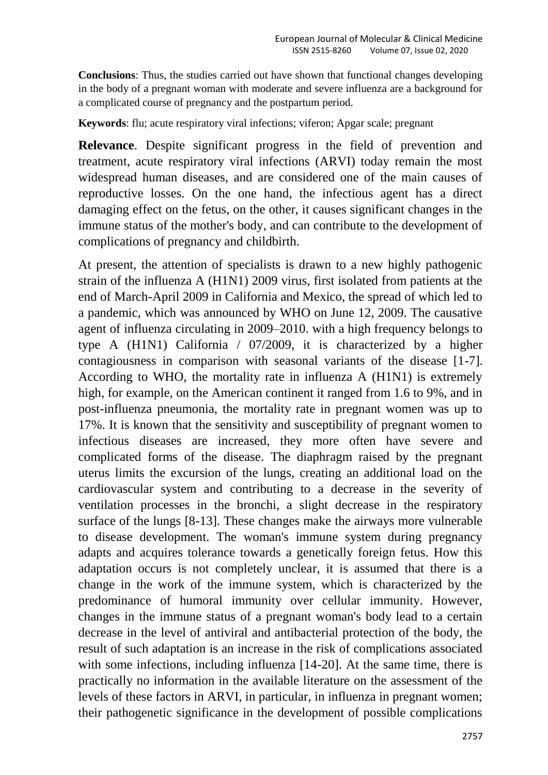**Conclusions**: Thus, the studies carried out have shown that functional changes developing in the body of a pregnant woman with moderate and severe influenza are a background for a complicated course of pregnancy and the postpartum period.

**Keywords**: flu; acute respiratory viral infections; viferon; Apgar scale; pregnant

**Relevance**. Despite significant progress in the field of prevention and treatment, acute respiratory viral infections (ARVI) today remain the most widespread human diseases, and are considered one of the main causes of reproductive losses. On the one hand, the infectious agent has a direct damaging effect on the fetus, on the other, it causes significant changes in the immune status of the mother's body, and can contribute to the development of complications of pregnancy and childbirth.

At present, the attention of specialists is drawn to a new highly pathogenic strain of the influenza A (H1N1) 2009 virus, first isolated from patients at the end of March-April 2009 in California and Mexico, the spread of which led to a pandemic, which was announced by WHO on June 12, 2009. The causative agent of influenza circulating in 2009–2010. with a high frequency belongs to type A (H1N1) California / 07/2009, it is characterized by a higher contagiousness in comparison with seasonal variants of the disease [1-7]. According to WHO, the mortality rate in influenza A (H1N1) is extremely high, for example, on the American continent it ranged from 1.6 to 9%, and in post-influenza pneumonia, the mortality rate in pregnant women was up to 17%. It is known that the sensitivity and susceptibility of pregnant women to infectious diseases are increased, they more often have severe and complicated forms of the disease. The diaphragm raised by the pregnant uterus limits the excursion of the lungs, creating an additional load on the cardiovascular system and contributing to a decrease in the severity of ventilation processes in the bronchi, a slight decrease in the respiratory surface of the lungs [8-13]. These changes make the airways more vulnerable to disease development. The woman's immune system during pregnancy adapts and acquires tolerance towards a genetically foreign fetus. How this adaptation occurs is not completely unclear, it is assumed that there is a change in the work of the immune system, which is characterized by the predominance of humoral immunity over cellular immunity. However, changes in the immune status of a pregnant woman's body lead to a certain decrease in the level of antiviral and antibacterial protection of the body, the result of such adaptation is an increase in the risk of complications associated with some infections, including influenza [14-20]. At the same time, there is practically no information in the available literature on the assessment of the levels of these factors in ARVI, in particular, in influenza in pregnant women; their pathogenetic significance in the development of possible complications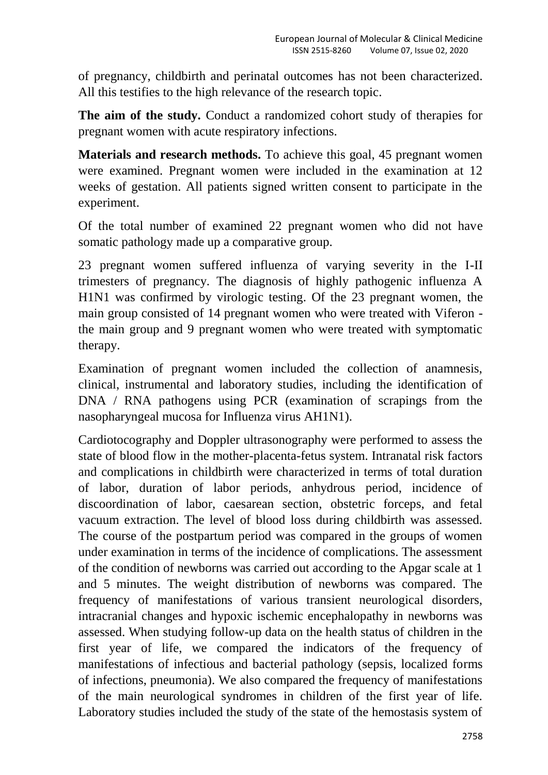of pregnancy, childbirth and perinatal outcomes has not been characterized. All this testifies to the high relevance of the research topic.

**The aim of the study.** Conduct a randomized cohort study of therapies for pregnant women with acute respiratory infections.

**Materials and research methods.** To achieve this goal, 45 pregnant women were examined. Pregnant women were included in the examination at 12 weeks of gestation. All patients signed written consent to participate in the experiment.

Of the total number of examined 22 pregnant women who did not have somatic pathology made up a comparative group.

23 pregnant women suffered influenza of varying severity in the I-II trimesters of pregnancy. The diagnosis of highly pathogenic influenza A H1N1 was confirmed by virologic testing. Of the 23 pregnant women, the main group consisted of 14 pregnant women who were treated with Viferon the main group and 9 pregnant women who were treated with symptomatic therapy.

Examination of pregnant women included the collection of anamnesis, clinical, instrumental and laboratory studies, including the identification of DNA / RNA pathogens using PCR (examination of scrapings from the nasopharyngeal mucosa for Influenza virus AH1N1).

Cardiotocography and Doppler ultrasonography were performed to assess the state of blood flow in the mother-placenta-fetus system. Intranatal risk factors and complications in childbirth were characterized in terms of total duration of labor, duration of labor periods, anhydrous period, incidence of discoordination of labor, caesarean section, obstetric forceps, and fetal vacuum extraction. The level of blood loss during childbirth was assessed. The course of the postpartum period was compared in the groups of women under examination in terms of the incidence of complications. The assessment of the condition of newborns was carried out according to the Apgar scale at 1 and 5 minutes. The weight distribution of newborns was compared. The frequency of manifestations of various transient neurological disorders, intracranial changes and hypoxic ischemic encephalopathy in newborns was assessed. When studying follow-up data on the health status of children in the first year of life, we compared the indicators of the frequency of manifestations of infectious and bacterial pathology (sepsis, localized forms of infections, pneumonia). We also compared the frequency of manifestations of the main neurological syndromes in children of the first year of life. Laboratory studies included the study of the state of the hemostasis system of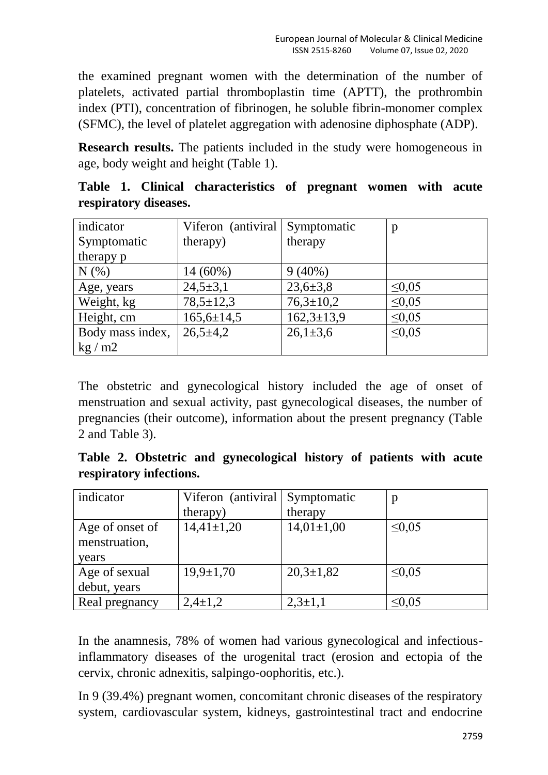the examined pregnant women with the determination of the number of platelets, activated partial thromboplastin time (APTT), the prothrombin index (PTI), concentration of fibrinogen, he soluble fibrin-monomer complex (SFMC), the level of platelet aggregation with adenosine diphosphate (ADP).

**Research results.** The patients included in the study were homogeneous in age, body weight and height (Table 1).

| indicator             | Viferon (antiviral | Symptomatic      | p           |
|-----------------------|--------------------|------------------|-------------|
| Symptomatic           | therapy)           | therapy          |             |
| therapy p             |                    |                  |             |
| N(% )                 | $14(60\%)$         | $9(40\%)$        |             |
| Age, years            | $24,5 \pm 3,1$     | $23,6 \pm 3,8$   | $\leq 0.05$ |
| Weight, kg            | $78,5 \pm 12,3$    | $76,3 \pm 10,2$  | $\leq 0.05$ |
| Height, cm            | $165,6 \pm 14,5$   | $162,3 \pm 13,9$ | $\leq 0.05$ |
| Body mass index,      | $26,5+4,2$         | $26,1 \pm 3,6$   | $\leq 0.05$ |
| $\text{kg}/\text{m2}$ |                    |                  |             |

**Table 1. Clinical characteristics of pregnant women with acute respiratory diseases.**

The obstetric and gynecological history included the age of onset of menstruation and sexual activity, past gynecological diseases, the number of pregnancies (their outcome), information about the present pregnancy (Table 2 and Table 3).

**Table 2. Obstetric and gynecological history of patients with acute respiratory infections.**

| indicator       | Viferon (antiviral | Symptomatic     | p           |
|-----------------|--------------------|-----------------|-------------|
|                 | therapy)           | therapy         |             |
| Age of onset of | $14,41\pm1,20$     | $14,01\pm1,00$  | $\leq 0.05$ |
| menstruation,   |                    |                 |             |
| years           |                    |                 |             |
| Age of sexual   | $19,9 \pm 1,70$    | $20,3 \pm 1,82$ | $\leq 0.05$ |
| debut, years    |                    |                 |             |
| Real pregnancy  | $2,4\pm1,2$        | $2,3+1,1$       | $\leq 0.05$ |

In the anamnesis, 78% of women had various gynecological and infectiousinflammatory diseases of the urogenital tract (erosion and ectopia of the cervix, chronic adnexitis, salpingo-oophoritis, etc.).

In 9 (39.4%) pregnant women, concomitant chronic diseases of the respiratory system, cardiovascular system, kidneys, gastrointestinal tract and endocrine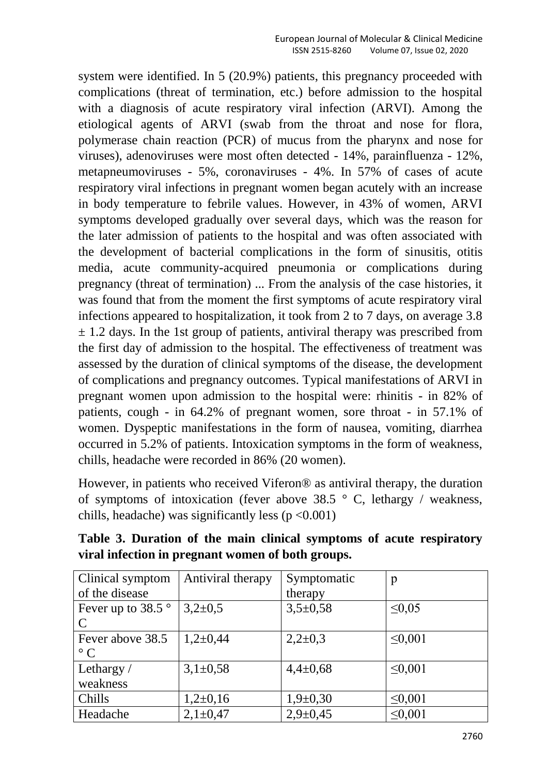system were identified. In 5 (20.9%) patients, this pregnancy proceeded with complications (threat of termination, etc.) before admission to the hospital with a diagnosis of acute respiratory viral infection (ARVI). Among the etiological agents of ARVI (swab from the throat and nose for flora, polymerase chain reaction (PCR) of mucus from the pharynx and nose for viruses), adenoviruses were most often detected - 14%, parainfluenza - 12%, metapneumoviruses - 5%, coronaviruses - 4%. In 57% of cases of acute respiratory viral infections in pregnant women began acutely with an increase in body temperature to febrile values. However, in 43% of women, ARVI symptoms developed gradually over several days, which was the reason for the later admission of patients to the hospital and was often associated with the development of bacterial complications in the form of sinusitis, otitis media, acute community-acquired pneumonia or complications during pregnancy (threat of termination) ... From the analysis of the case histories, it was found that from the moment the first symptoms of acute respiratory viral infections appeared to hospitalization, it took from 2 to 7 days, on average 3.8  $\pm$  1.2 days. In the 1st group of patients, antiviral therapy was prescribed from the first day of admission to the hospital. The effectiveness of treatment was assessed by the duration of clinical symptoms of the disease, the development of complications and pregnancy outcomes. Typical manifestations of ARVI in pregnant women upon admission to the hospital were: rhinitis - in 82% of patients, cough - in 64.2% of pregnant women, sore throat - in 57.1% of women. Dyspeptic manifestations in the form of nausea, vomiting, diarrhea occurred in 5.2% of patients. Intoxication symptoms in the form of weakness, chills, headache were recorded in 86% (20 women).

However, in patients who received Viferon® as antiviral therapy, the duration of symptoms of intoxication (fever above 38.5  $\degree$  C, lethargy / weakness, chills, headache) was significantly less ( $p < 0.001$ )

| Clinical symptom           | Antiviral therapy | Symptomatic    | p            |
|----------------------------|-------------------|----------------|--------------|
| of the disease             |                   | therapy        |              |
| Fever up to 38.5 $\degree$ | $3,2\pm0,5$       | $3,5+0,58$     | $\leq 0.05$  |
| C                          |                   |                |              |
| Fever above 38.5           | $1,2\pm0,44$      | $2,2\pm0,3$    | $\leq 0.001$ |
| $\circ$ C                  |                   |                |              |
| Lethargy/                  | $3,1\pm0,58$      | $4,4 \pm 0,68$ | $\leq 0.001$ |
| weakness                   |                   |                |              |
| Chills                     | $1,2\pm0,16$      | $1,9+0,30$     | $\leq 0.001$ |
| Headache                   | $2,1\pm0,47$      | $2,9+0,45$     | $\leq 0,001$ |

**Table 3. Duration of the main clinical symptoms of acute respiratory viral infection in pregnant women of both groups.**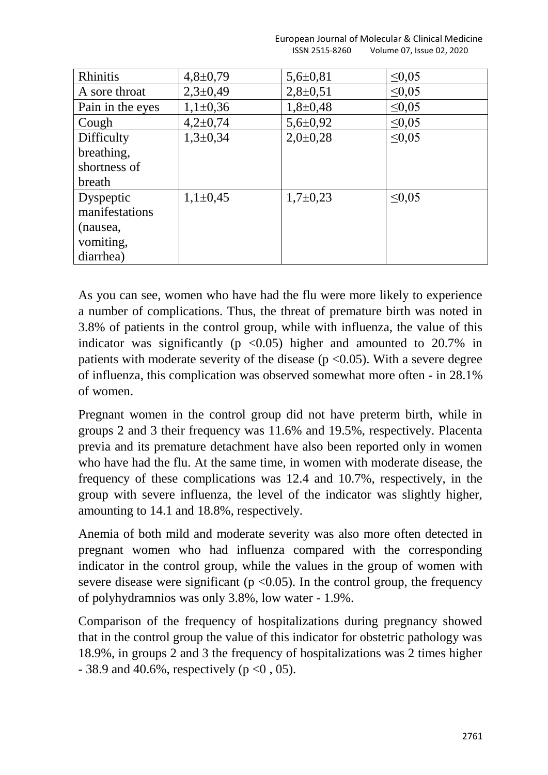|                | European Journal of Molecular & Clinical Medicine |
|----------------|---------------------------------------------------|
| ISSN 2515-8260 | Volume 07, Issue 02, 2020                         |

| <b>Rhinitis</b>  | $4,8 \pm 0,79$ | $5,6 \pm 0,81$ | $\leq 0.05$ |
|------------------|----------------|----------------|-------------|
| A sore throat    | $2,3 \pm 0,49$ | $2,8+0,51$     | $\leq 0.05$ |
| Pain in the eyes | $1,1\pm0,36$   | $1,8+0,48$     | $\leq 0.05$ |
| Cough            | $4,2\pm0,74$   | $5,6 \pm 0.92$ | $\leq 0.05$ |
| Difficulty       | $1,3+0,34$     | $2,0\pm0.28$   | $\leq 0.05$ |
| breathing,       |                |                |             |
| shortness of     |                |                |             |
| breath           |                |                |             |
| Dyspeptic        | $1,1\pm0.45$   | $1,7\pm0,23$   | $\leq 0.05$ |
| manifestations   |                |                |             |
| (nausea,         |                |                |             |
| vomiting,        |                |                |             |
| diarrhea)        |                |                |             |

As you can see, women who have had the flu were more likely to experience a number of complications. Thus, the threat of premature birth was noted in 3.8% of patients in the control group, while with influenza, the value of this indicator was significantly ( $p \le 0.05$ ) higher and amounted to 20.7% in patients with moderate severity of the disease ( $p \le 0.05$ ). With a severe degree of influenza, this complication was observed somewhat more often - in 28.1% of women.

Pregnant women in the control group did not have preterm birth, while in groups 2 and 3 their frequency was 11.6% and 19.5%, respectively. Placenta previa and its premature detachment have also been reported only in women who have had the flu. At the same time, in women with moderate disease, the frequency of these complications was 12.4 and 10.7%, respectively, in the group with severe influenza, the level of the indicator was slightly higher, amounting to 14.1 and 18.8%, respectively.

Anemia of both mild and moderate severity was also more often detected in pregnant women who had influenza compared with the corresponding indicator in the control group, while the values in the group of women with severe disease were significant ( $p \le 0.05$ ). In the control group, the frequency of polyhydramnios was only 3.8%, low water - 1.9%.

Comparison of the frequency of hospitalizations during pregnancy showed that in the control group the value of this indicator for obstetric pathology was 18.9%, in groups 2 and 3 the frequency of hospitalizations was 2 times higher  $-38.9$  and 40.6%, respectively (p < 0, 05).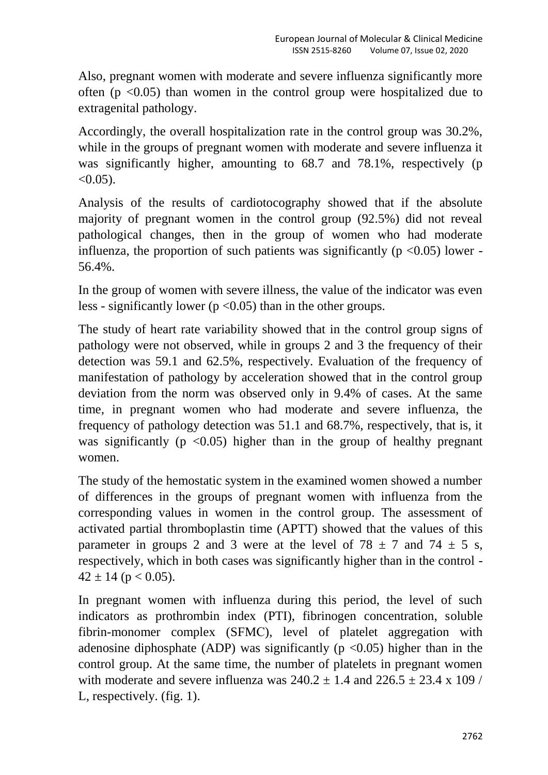Also, pregnant women with moderate and severe influenza significantly more often ( $p \le 0.05$ ) than women in the control group were hospitalized due to extragenital pathology.

Accordingly, the overall hospitalization rate in the control group was 30.2%, while in the groups of pregnant women with moderate and severe influenza it was significantly higher, amounting to 68.7 and 78.1%, respectively (p  $< 0.05$ ).

Analysis of the results of cardiotocography showed that if the absolute majority of pregnant women in the control group (92.5%) did not reveal pathological changes, then in the group of women who had moderate influenza, the proportion of such patients was significantly ( $p \le 0.05$ ) lower -56.4%.

In the group of women with severe illness, the value of the indicator was even less - significantly lower ( $p < 0.05$ ) than in the other groups.

The study of heart rate variability showed that in the control group signs of pathology were not observed, while in groups 2 and 3 the frequency of their detection was 59.1 and 62.5%, respectively. Evaluation of the frequency of manifestation of pathology by acceleration showed that in the control group deviation from the norm was observed only in 9.4% of cases. At the same time, in pregnant women who had moderate and severe influenza, the frequency of pathology detection was 51.1 and 68.7%, respectively, that is, it was significantly ( $p \leq 0.05$ ) higher than in the group of healthy pregnant women.

The study of the hemostatic system in the examined women showed a number of differences in the groups of pregnant women with influenza from the corresponding values in women in the control group. The assessment of activated partial thromboplastin time (APTT) showed that the values of this parameter in groups 2 and 3 were at the level of  $78 \pm 7$  and  $74 \pm 5$  s, respectively, which in both cases was significantly higher than in the control -  $42 \pm 14$  (p < 0.05).

In pregnant women with influenza during this period, the level of such indicators as prothrombin index (PTI), fibrinogen concentration, soluble fibrin-monomer complex (SFMС), level of platelet aggregation with adenosine diphosphate (ADP) was significantly ( $p \le 0.05$ ) higher than in the control group. At the same time, the number of platelets in pregnant women with moderate and severe influenza was  $240.2 + 1.4$  and  $226.5 + 23.4 \times 109$  / L, respectively. (fig. 1).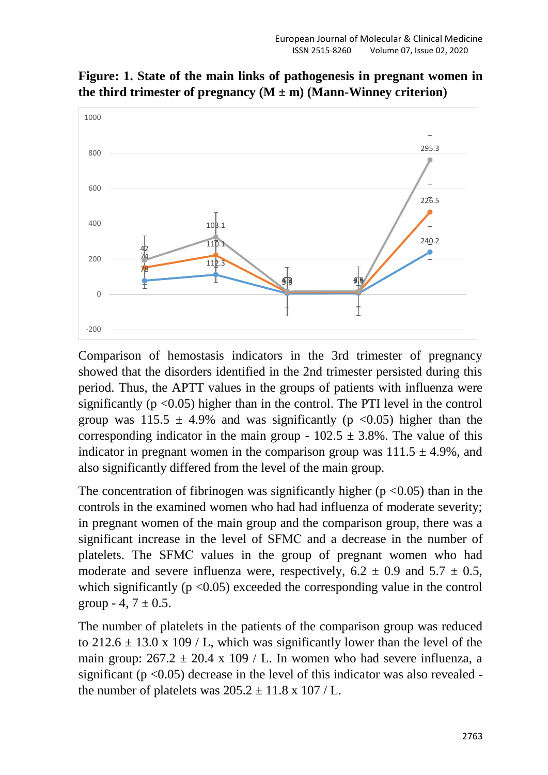

**Figure: 1. State of the main links of pathogenesis in pregnant women in**  the third trimester of pregnancy  $(M \pm m)$  (Mann-Winney criterion)

Comparison of hemostasis indicators in the 3rd trimester of pregnancy showed that the disorders identified in the 2nd trimester persisted during this period. Thus, the APTT values in the groups of patients with influenza were significantly ( $p \le 0.05$ ) higher than in the control. The PTI level in the control group was  $115.5 \pm 4.9\%$  and was significantly (p <0.05) higher than the corresponding indicator in the main group -  $102.5 \pm 3.8\%$ . The value of this indicator in pregnant women in the comparison group was  $111.5 \pm 4.9\%$ , and also significantly differed from the level of the main group.

The concentration of fibrinogen was significantly higher ( $p < 0.05$ ) than in the controls in the examined women who had had influenza of moderate severity; in pregnant women of the main group and the comparison group, there was a significant increase in the level of SFMС and a decrease in the number of platelets. The SFMС values in the group of pregnant women who had moderate and severe influenza were, respectively,  $6.2 \pm 0.9$  and  $5.7 \pm 0.5$ , which significantly ( $p < 0.05$ ) exceeded the corresponding value in the control group  $-4$ ,  $7 \pm 0.5$ .

The number of platelets in the patients of the comparison group was reduced to 212.6  $\pm$  13.0 x 109 / L, which was significantly lower than the level of the main group:  $267.2 \pm 20.4 \times 109$  / L. In women who had severe influenza, a significant ( $p < 0.05$ ) decrease in the level of this indicator was also revealed the number of platelets was  $205.2 \pm 11.8 \times 107$  / L.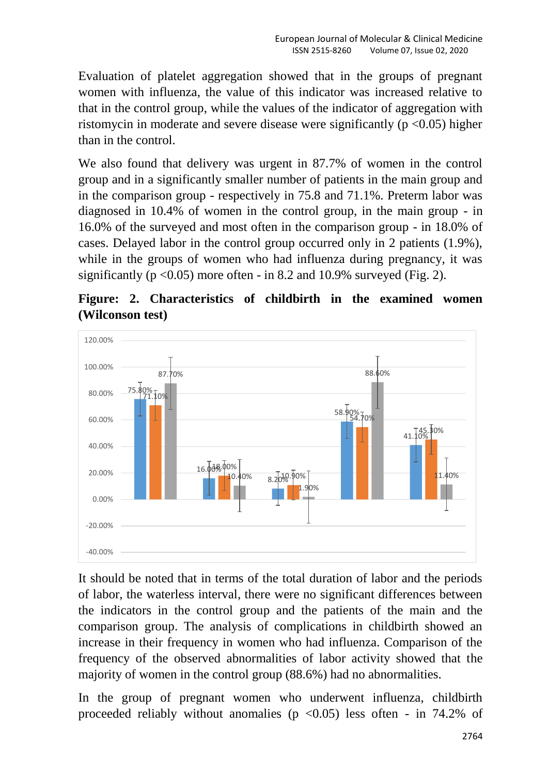Evaluation of platelet aggregation showed that in the groups of pregnant women with influenza, the value of this indicator was increased relative to that in the control group, while the values of the indicator of aggregation with ristomycin in moderate and severe disease were significantly ( $p \le 0.05$ ) higher than in the control.

We also found that delivery was urgent in 87.7% of women in the control group and in a significantly smaller number of patients in the main group and in the comparison group - respectively in 75.8 and 71.1%. Preterm labor was diagnosed in 10.4% of women in the control group, in the main group - in 16.0% of the surveyed and most often in the comparison group - in 18.0% of cases. Delayed labor in the control group occurred only in 2 patients (1.9%), while in the groups of women who had influenza during pregnancy, it was significantly ( $p < 0.05$ ) more often - in 8.2 and 10.9% surveyed (Fig. 2).

# **Figure: 2. Characteristics of childbirth in the examined women (Wilconson test)**



It should be noted that in terms of the total duration of labor and the periods of labor, the waterless interval, there were no significant differences between the indicators in the control group and the patients of the main and the comparison group. The analysis of complications in childbirth showed an increase in their frequency in women who had influenza. Comparison of the frequency of the observed abnormalities of labor activity showed that the majority of women in the control group (88.6%) had no abnormalities.

In the group of pregnant women who underwent influenza, childbirth proceeded reliably without anomalies ( $p \le 0.05$ ) less often - in 74.2% of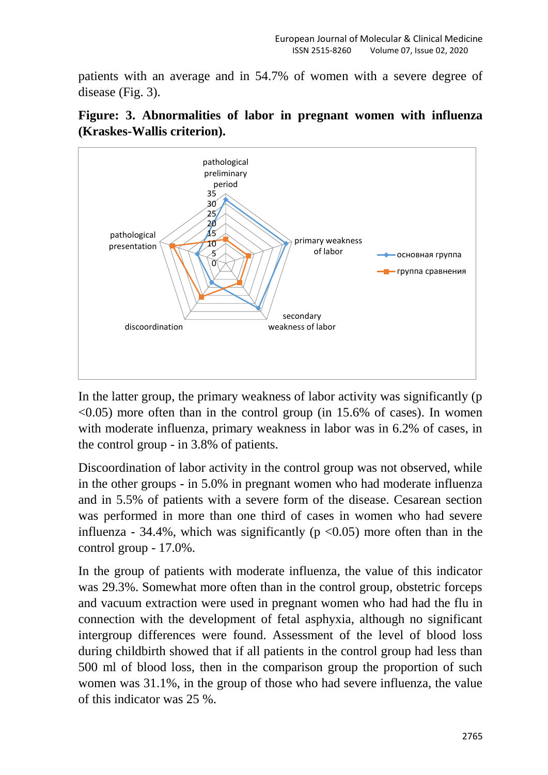patients with an average and in 54.7% of women with a severe degree of disease (Fig. 3).



**Figure: 3. Abnormalities of labor in pregnant women with influenza (Kraskes-Wallis criterion).**

In the latter group, the primary weakness of labor activity was significantly (p  $\leq$ 0.05) more often than in the control group (in 15.6% of cases). In women with moderate influenza, primary weakness in labor was in 6.2% of cases, in the control group - in 3.8% of patients.

Discoordination of labor activity in the control group was not observed, while in the other groups - in 5.0% in pregnant women who had moderate influenza and in 5.5% of patients with a severe form of the disease. Cesarean section was performed in more than one third of cases in women who had severe influenza - 34.4%, which was significantly ( $p \le 0.05$ ) more often than in the control group - 17.0%.

In the group of patients with moderate influenza, the value of this indicator was 29.3%. Somewhat more often than in the control group, obstetric forceps and vacuum extraction were used in pregnant women who had had the flu in connection with the development of fetal asphyxia, although no significant intergroup differences were found. Assessment of the level of blood loss during childbirth showed that if all patients in the control group had less than 500 ml of blood loss, then in the comparison group the proportion of such women was 31.1%, in the group of those who had severe influenza, the value of this indicator was 25 %.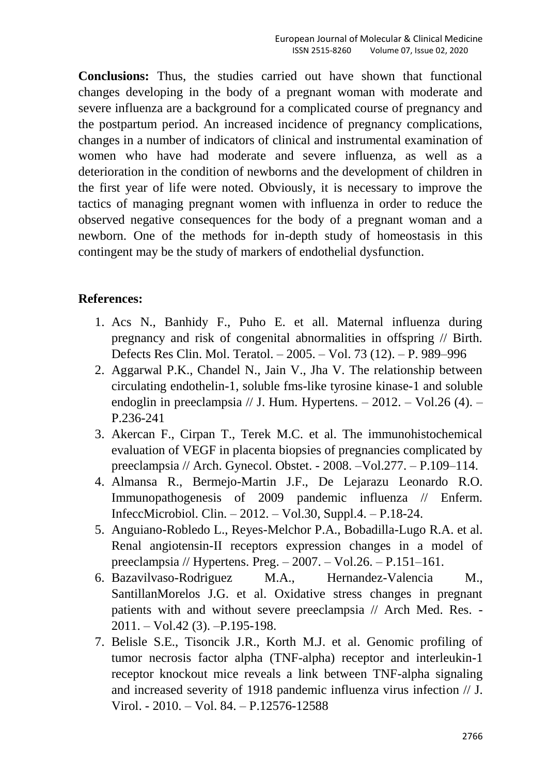**Conclusions:** Thus, the studies carried out have shown that functional changes developing in the body of a pregnant woman with moderate and severe influenza are a background for a complicated course of pregnancy and the postpartum period. An increased incidence of pregnancy complications, changes in a number of indicators of clinical and instrumental examination of women who have had moderate and severe influenza, as well as a deterioration in the condition of newborns and the development of children in the first year of life were noted. Obviously, it is necessary to improve the tactics of managing pregnant women with influenza in order to reduce the observed negative consequences for the body of a pregnant woman and a newborn. One of the methods for in-depth study of homeostasis in this contingent may be the study of markers of endothelial dysfunction.

# **References:**

- 1. Acs N., Banhidy F., Puho E. et all. Maternal influenza during pregnancy and risk of congenital abnormalities in offspring // Birth. Defects Res Clin. Mol. Teratol. – 2005. – Vol. 73 (12). – P. 989–996
- 2. Aggarwal P.K., Chandel N., Jain V., Jha V. The relationship between circulating endothelin-1, soluble fms-like tyrosine kinase-1 and soluble endoglin in preeclampsia // J. Hum. Hypertens.  $-2012$ .  $-$  Vol.26 (4).  $-$ P.236-241
- 3. Akercan F., Cirpan T., Terek M.C. et al. The immunohistochemical evaluation of VEGF in placenta biopsies of pregnancies complicated by preeclampsia // Arch. Gynecol. Obstet. - 2008. –Vol.277. – P.109–114.
- 4. Almansa R., Bermejo-Martin J.F., De Lejarazu Leonardo R.O. Immunopathogenesis of 2009 pandemic influenza // Enferm. InfeccMicrobiol. Clin. – 2012. – Vol.30, Suppl.4. – P.18-24.
- 5. Anguiano-Robledo L., Reyes-Melchor P.A., Bobadilla-Lugo R.A. et al. Renal angiotensin-II receptors expression changes in a model of preeclampsia // Hypertens. Preg. – 2007. – Vol.26. – P.151–161.
- 6. Bazavilvaso-Rodriguez M.A., Hernandez-Valencia M., SantillanMorelos J.G. et al. Oxidative stress changes in pregnant patients with and without severe preeclampsia // Arch Med. Res. - 2011. – Vol.42 (3). –P.195-198.
- 7. Belisle S.E., Tisoncik J.R., Korth M.J. et al. Genomic profiling of tumor necrosis factor alpha (TNF-alpha) receptor and interleukin-1 receptor knockout mice reveals a link between TNF-alpha signaling and increased severity of 1918 pandemic influenza virus infection // J. Virol. - 2010. – Vol. 84. – P.12576-12588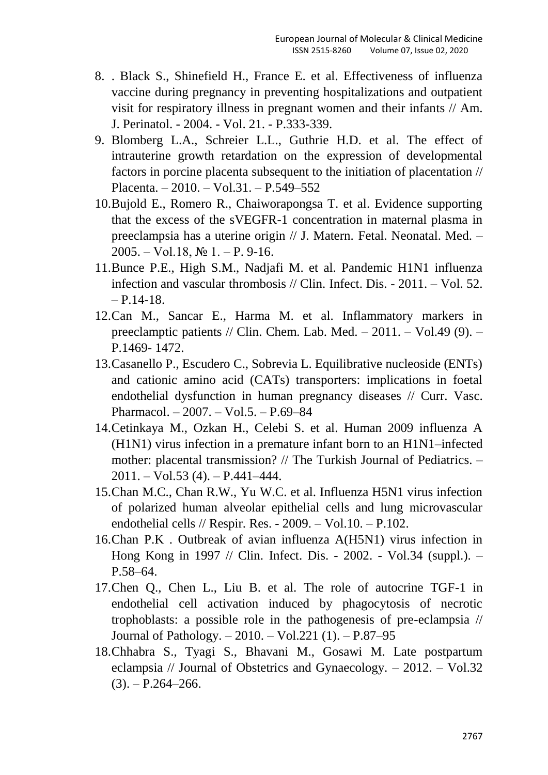- 8. . Black S., Shinefield H., France E. et al. Effectiveness of influenza vaccine during pregnancy in preventing hospitalizations and outpatient visit for respiratory illness in pregnant women and their infants // Am. J. Perinatol. - 2004. - Vol. 21. - P.333-339.
- 9. Blomberg L.A., Schreier L.L., Guthrie H.D. et al. The effect of intrauterine growth retardation on the expression of developmental factors in porcine placenta subsequent to the initiation of placentation // Placenta. – 2010. – Vol.31. – P.549–552
- 10.Bujold E., Romero R., Chaiworapongsa T. et al. Evidence supporting that the excess of the sVEGFR-1 concentration in maternal plasma in preeclampsia has a uterine origin // J. Matern. Fetal. Neonatal. Med. –  $2005. - Vol.18$ ,  $N_2$  1. – P. 9-16.
- 11.Bunce P.E., High S.M., Nadjafi M. et al. Pandemic H1N1 influenza infection and vascular thrombosis // Clin. Infect. Dis. - 2011. – Vol. 52.  $- P.14-18.$
- 12.Can M., Sancar E., Harma M. et al. Inflammatory markers in preeclamptic patients // Clin. Chem. Lab. Med.  $- 2011$ .  $-$  Vol.49 (9).  $-$ P.1469- 1472.
- 13.Casanello P., Escudero C., Sobrevia L. Equilibrative nucleoside (ENTs) and cationic amino acid (CATs) transporters: implications in foetal endothelial dysfunction in human pregnancy diseases // Curr. Vasc. Pharmacol. – 2007. – Vol.5. – P.69–84
- 14.Cetinkaya M., Ozkan H., Celebi S. et al. Human 2009 influenza A (H1N1) virus infection in a premature infant born to an H1N1–infected mother: placental transmission? // The Turkish Journal of Pediatrics. – 2011. – Vol.53 (4). – P.441–444.
- 15.Chan M.C., Chan R.W., Yu W.C. et al. Influenza H5N1 virus infection of polarized human alveolar epithelial cells and lung microvascular endothelial cells // Respir. Res. - 2009. – Vol.10. – P.102.
- 16.Chan P.K . Outbreak of avian influenza A(H5N1) virus infection in Hong Kong in 1997 // Clin. Infect. Dis. - 2002. - Vol.34 (suppl.). – P.58–64.
- 17.Chen Q., Chen L., Liu B. et al. The role of autocrine TGF-1 in endothelial cell activation induced by phagocytosis of necrotic trophoblasts: a possible role in the pathogenesis of pre-eclampsia // Journal of Pathology. – 2010. – Vol.221 (1). – P.87–95
- 18.Chhabra S., Tyagi S., Bhavani M., Gosawi M. Late postpartum eclampsia // Journal of Obstetrics and Gynaecology. – 2012. – Vol.32  $(3)$ . – P.264–266.